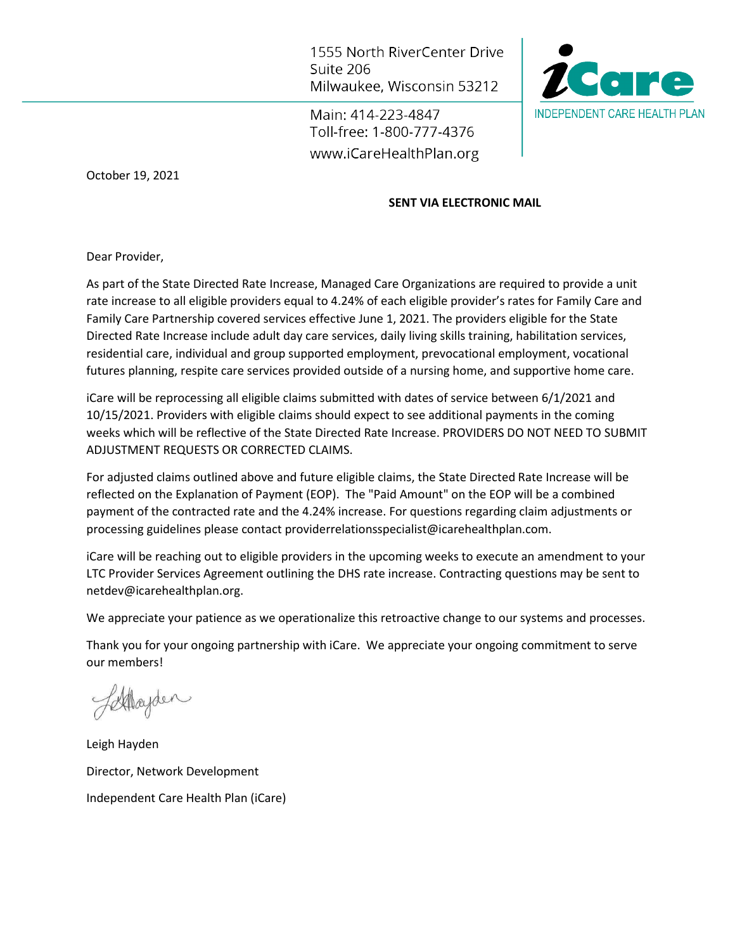1555 North RiverCenter Drive Suite 206 Milwaukee, Wisconsin 53212

Main: 414-223-4847 Toll-free: 1-800-777-4376 www.iCareHealthPlan.org



October 19, 2021

# **SENT VIA ELECTRONIC MAIL**

Dear Provider,

As part of the State Directed Rate Increase, Managed Care Organizations are required to provide a unit rate increase to all eligible providers equal to 4.24% of each eligible provider's rates for Family Care and Family Care Partnership covered services effective June 1, 2021. The providers eligible for the State Directed Rate Increase include adult day care services, daily living skills training, habilitation services, residential care, individual and group supported employment, prevocational employment, vocational futures planning, respite care services provided outside of a nursing home, and supportive home care.

iCare will be reprocessing all eligible claims submitted with dates of service between 6/1/2021 and 10/15/2021. Providers with eligible claims should expect to see additional payments in the coming weeks which will be reflective of the State Directed Rate Increase. PROVIDERS DO NOT NEED TO SUBMIT ADJUSTMENT REQUESTS OR CORRECTED CLAIMS.

For adjusted claims outlined above and future eligible claims, the State Directed Rate Increase will be reflected on the Explanation of Payment (EOP). The "Paid Amount" on the EOP will be a combined payment of the contracted rate and the 4.24% increase. For questions regarding claim adjustments or processing guidelines please contact providerrelationsspecialist@icarehealthplan.com.

iCare will be reaching out to eligible providers in the upcoming weeks to execute an amendment to your LTC Provider Services Agreement outlining the DHS rate increase. Contracting questions may be sent to netdev@icarehealthplan.org.

We appreciate your patience as we operationalize this retroactive change to our systems and processes.

Thank you for your ongoing partnership with iCare. We appreciate your ongoing commitment to serve our members!

Stayden

Leigh Hayden Director, Network Development Independent Care Health Plan (iCare)